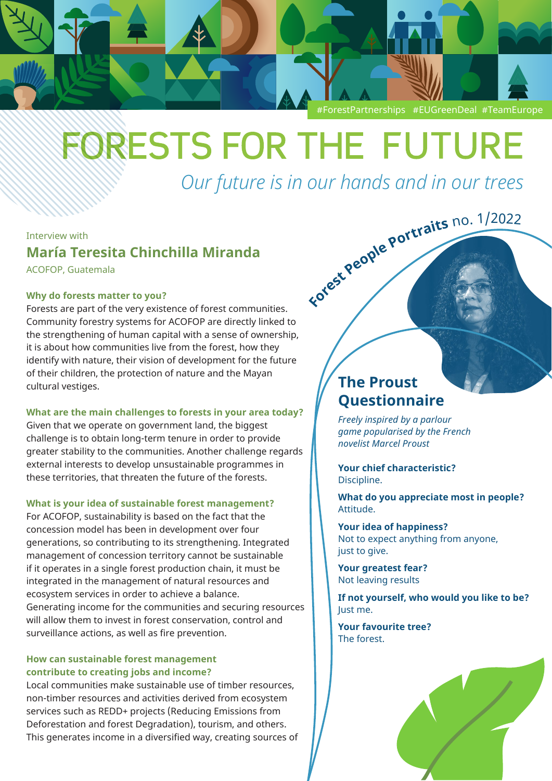

# **FORESTS FOR THE FUTURE**

*Our future is in our hands and in our trees* **Fores<sup>t</sup> <sup>P</sup>eopl<sup>e</sup> <sup>P</sup>ortrait<sup>s</sup>** <sup>n</sup>o. <sup>1</sup>/<sup>2</sup>02<sup>2</sup>

Interview with

**María Teresita Chinchilla Miranda** 

ACOFOP, Guatemala

### **Why do forests matter to you?**

Forests are part of the very existence of forest communities. Community forestry systems for [ACOFOP](https://acofop.org/en/) are directly linked to the strengthening of human capital with a sense of ownership, it is about how communities live from the forest, how they identify with nature, their vision of development for the future of their children, the protection of nature and the Mayan cultural vestiges.

**What are the main challenges to forests in your area today?**

Given that we operate on government land, the biggest challenge is to obtain long-term tenure in order to provide greater stability to the communities. Another challenge regards external interests to develop unsustainable programmes in these territories, that threaten the future of the forests.

## **What is your idea of sustainable forest management?**

For ACOFOP, sustainability is based on the fact that the concession model has been in development over four generations, so contributing to its strengthening. Integrated management of concession territory cannot be sustainable if it operates in a single forest production chain, it must be integrated in the management of natural resources and ecosystem services in order to achieve a balance. Generating income for the communities and securing resources will allow them to invest in forest conservation, control and surveillance actions, as well as fire prevention.

## **How can sustainable forest management contribute to creating jobs and income?**

Local communities make sustainable use of timber resources, non-timber resources and activities derived from ecosystem services such as REDD+ projects (Reducing Emissions from Deforestation and forest Degradation), tourism, and others. This generates income in a diversified way, creating sources of

# **The Proust Questionnaire**

*Freely inspired by a parlour game popularised by the French novelist Marcel Proust* 

#### **Your chief characteristic?** Discipline.

**What do you appreciate most in people?** Attitude.

**Your idea of happiness?** Not to expect anything from anyone, just to give.

**Your greatest fear?** Not leaving results

**If not yourself, who would you like to be?** Just me.

**Your favourite tree?** The forest.